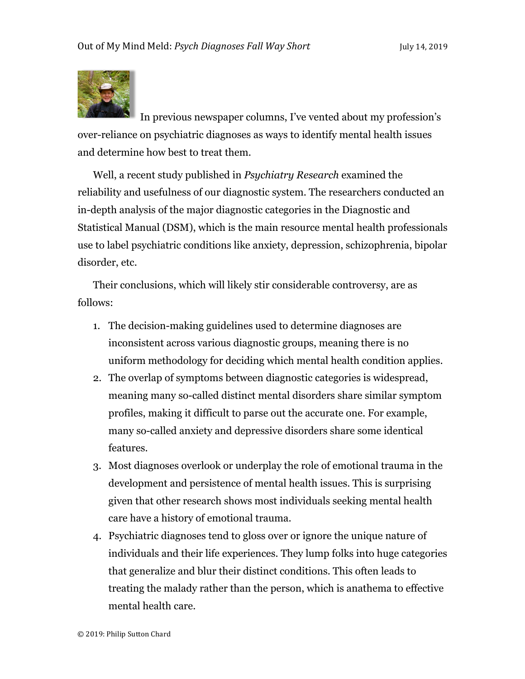

In previous newspaper columns, I've vented about my profession's over-reliance on psychiatric diagnoses as ways to identify mental health issues and determine how best to treat them.

Well, a recent study published in *Psychiatry Research* examined the reliability and usefulness of our diagnostic system. The researchers conducted an in-depth analysis of the major diagnostic categories in the Diagnostic and Statistical Manual (DSM), which is the main resource mental health professionals use to label psychiatric conditions like anxiety, depression, schizophrenia, bipolar disorder, etc.

Their conclusions, which will likely stir considerable controversy, are as follows:

- 1. The decision-making guidelines used to determine diagnoses are inconsistent across various diagnostic groups, meaning there is no uniform methodology for deciding which mental health condition applies.
- 2. The overlap of symptoms between diagnostic categories is widespread, meaning many so-called distinct mental disorders share similar symptom profiles, making it difficult to parse out the accurate one. For example, many so-called anxiety and depressive disorders share some identical features.
- 3. Most diagnoses overlook or underplay the role of emotional trauma in the development and persistence of mental health issues. This is surprising given that other research shows most individuals seeking mental health care have a history of emotional trauma.
- 4. Psychiatric diagnoses tend to gloss over or ignore the unique nature of individuals and their life experiences. They lump folks into huge categories that generalize and blur their distinct conditions. This often leads to treating the malady rather than the person, which is anathema to effective mental health care.